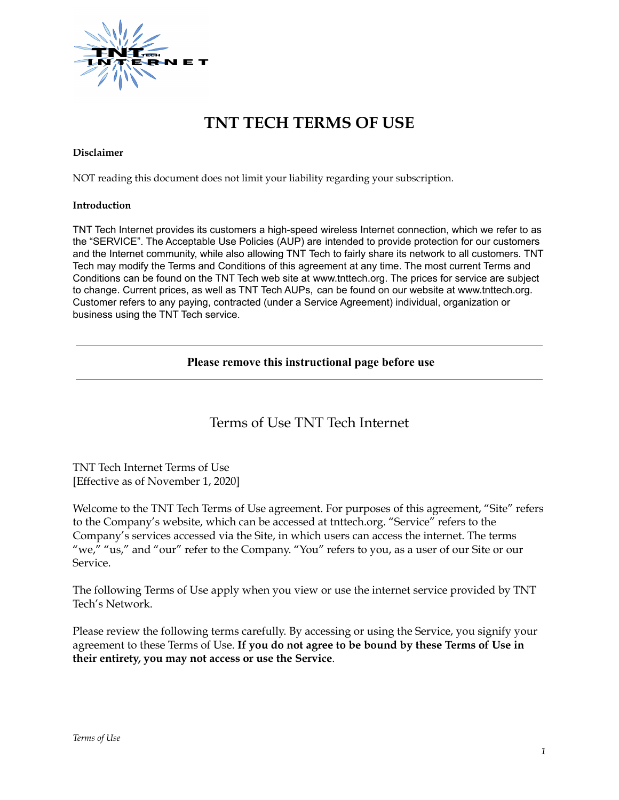

# **TNT TECH TERMS OF USE**

#### **Disclaimer**

NOT reading this document does not limit your liability regarding your subscription.

#### **Introduction**

TNT Tech Internet provides its customers a high-speed wireless Internet connection, which we refer to as the "SERVICE". The Acceptable Use Policies (AUP) are intended to provide protection for our customers and the Internet community, while also allowing TNT Tech to fairly share its network to all customers. TNT Tech may modify the Terms and Conditions of this agreement at any time. The most current Terms and Conditions can be found on the TNT Tech web site at www.tnttech.org. The prices for service are subject to change. Current prices, as well as TNT Tech AUPs, can be found on our website at www.tnttech.org. Customer refers to any paying, contracted (under a Service Agreement) individual, organization or business using the TNT Tech service.

#### **Please remove this instructional page before use**

# Terms of Use TNT Tech Internet

TNT Tech Internet Terms of Use [Effective as of November 1, 2020]

Welcome to the TNT Tech Terms of Use agreement. For purposes of this agreement, "Site" refers to the Company's website, which can be accessed at tnttech.org. "Service" refers to the Company's services accessed via the Site, in which users can access the internet. The terms "we," "us," and "our" refer to the Company. "You" refers to you, as a user of our Site or our Service.

The following Terms of Use apply when you view or use the internet service provided by TNT Tech's Network.

Please review the following terms carefully. By accessing or using the Service, you signify your agreement to these Terms of Use. **If you do not agree to be bound by these Terms of Use in their entirety, you may not access or use the Service**.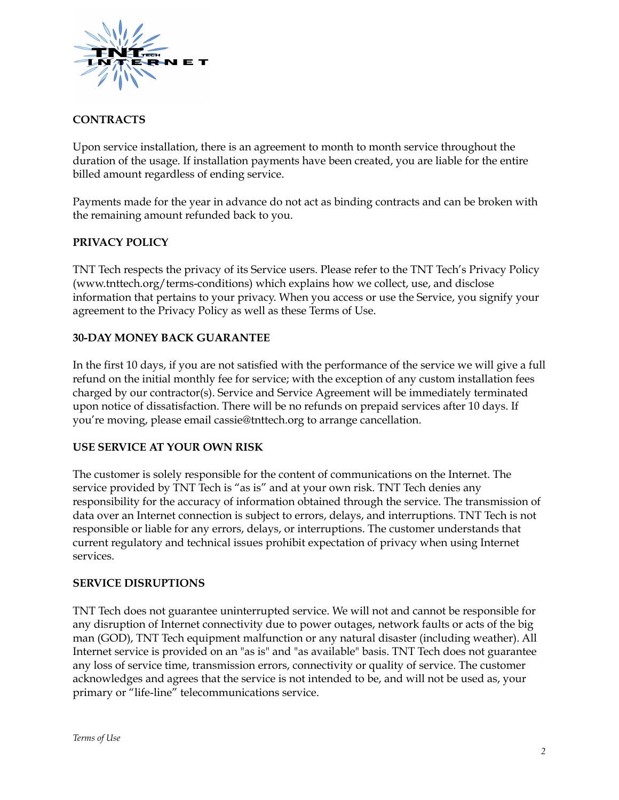

# **CONTRACTS**

Upon service installation, there is an agreement to month to month service throughout the duration of the usage. If installation payments have been created, you are liable for the entire billed amount regardless of ending service.

Payments made for the year in advance do not act as binding contracts and can be broken with the remaining amount refunded back to you.

# **PRIVACY POLICY**

TNT Tech respects the privacy of its Service users. Please refer to the TNT Tech's Privacy Policy (www.tnttech.org/terms-conditions) which explains how we collect, use, and disclose information that pertains to your privacy. When you access or use the Service, you signify your agreement to the Privacy Policy as well as these Terms of Use.

#### **30-DAY MONEY BACK GUARANTEE**

In the first 10 days, if you are not satisfied with the performance of the service we will give a full refund on the initial monthly fee for service; with the exception of any custom installation fees charged by our contractor(s). Service and Service Agreement will be immediately terminated upon notice of dissatisfaction. There will be no refunds on prepaid services after 10 days. If you're moving, please email cassie@tnttech.org to arrange cancellation.

# **USE SERVICE AT YOUR OWN RISK**

The customer is solely responsible for the content of communications on the Internet. The service provided by TNT Tech is "as is" and at your own risk. TNT Tech denies any responsibility for the accuracy of information obtained through the service. The transmission of data over an Internet connection is subject to errors, delays, and interruptions. TNT Tech is not responsible or liable for any errors, delays, or interruptions. The customer understands that current regulatory and technical issues prohibit expectation of privacy when using Internet services.

#### **SERVICE DISRUPTIONS**

TNT Tech does not guarantee uninterrupted service. We will not and cannot be responsible for any disruption of Internet connectivity due to power outages, network faults or acts of the big man (GOD), TNT Tech equipment malfunction or any natural disaster (including weather). All Internet service is provided on an "as is" and "as available" basis. TNT Tech does not guarantee any loss of service time, transmission errors, connectivity or quality of service. The customer acknowledges and agrees that the service is not intended to be, and will not be used as, your primary or "life-line" telecommunications service.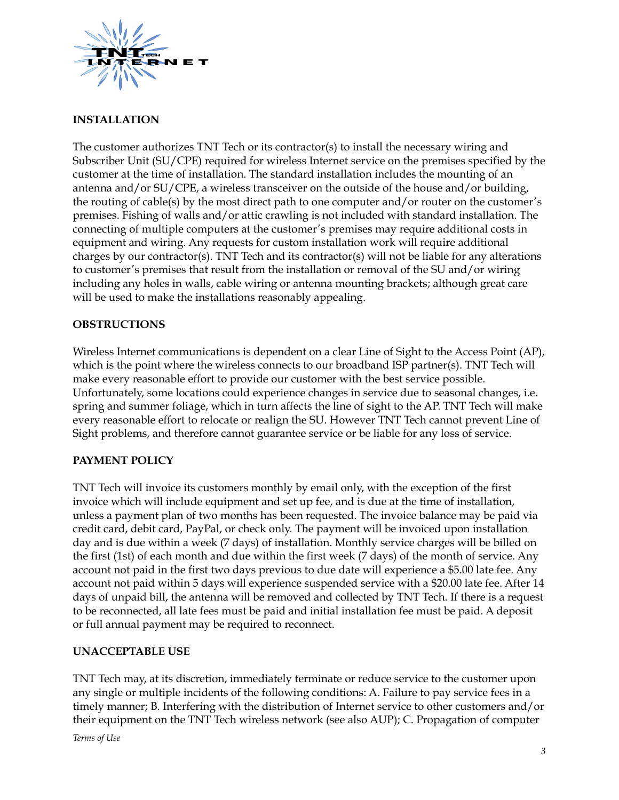

# **INSTALLATION**

The customer authorizes TNT Tech or its contractor(s) to install the necessary wiring and Subscriber Unit (SU/CPE) required for wireless Internet service on the premises specified by the customer at the time of installation. The standard installation includes the mounting of an antenna and/or SU/CPE, a wireless transceiver on the outside of the house and/or building, the routing of cable(s) by the most direct path to one computer and/or router on the customer's premises. Fishing of walls and/or attic crawling is not included with standard installation. The connecting of multiple computers at the customer's premises may require additional costs in equipment and wiring. Any requests for custom installation work will require additional charges by our contractor(s). TNT Tech and its contractor(s) will not be liable for any alterations to customer's premises that result from the installation or removal of the SU and/or wiring including any holes in walls, cable wiring or antenna mounting brackets; although great care will be used to make the installations reasonably appealing.

# **OBSTRUCTIONS**

Wireless Internet communications is dependent on a clear Line of Sight to the Access Point (AP), which is the point where the wireless connects to our broadband ISP partner(s). TNT Tech will make every reasonable effort to provide our customer with the best service possible. Unfortunately, some locations could experience changes in service due to seasonal changes, i.e. spring and summer foliage, which in turn affects the line of sight to the AP. TNT Tech will make every reasonable effort to relocate or realign the SU. However TNT Tech cannot prevent Line of Sight problems, and therefore cannot guarantee service or be liable for any loss of service.

# **PAYMENT POLICY**

TNT Tech will invoice its customers monthly by email only, with the exception of the first invoice which will include equipment and set up fee, and is due at the time of installation, unless a payment plan of two months has been requested. The invoice balance may be paid via credit card, debit card, PayPal, or check only. The payment will be invoiced upon installation day and is due within a week (7 days) of installation. Monthly service charges will be billed on the first (1st) of each month and due within the first week (7 days) of the month of service. Any account not paid in the first two days previous to due date will experience a \$5.00 late fee. Any account not paid within 5 days will experience suspended service with a \$20.00 late fee. After 14 days of unpaid bill, the antenna will be removed and collected by TNT Tech. If there is a request to be reconnected, all late fees must be paid and initial installation fee must be paid. A deposit or full annual payment may be required to reconnect.

# **UNACCEPTABLE USE**

TNT Tech may, at its discretion, immediately terminate or reduce service to the customer upon any single or multiple incidents of the following conditions: A. Failure to pay service fees in a timely manner; B. Interfering with the distribution of Internet service to other customers and/or their equipment on the TNT Tech wireless network (see also AUP); C. Propagation of computer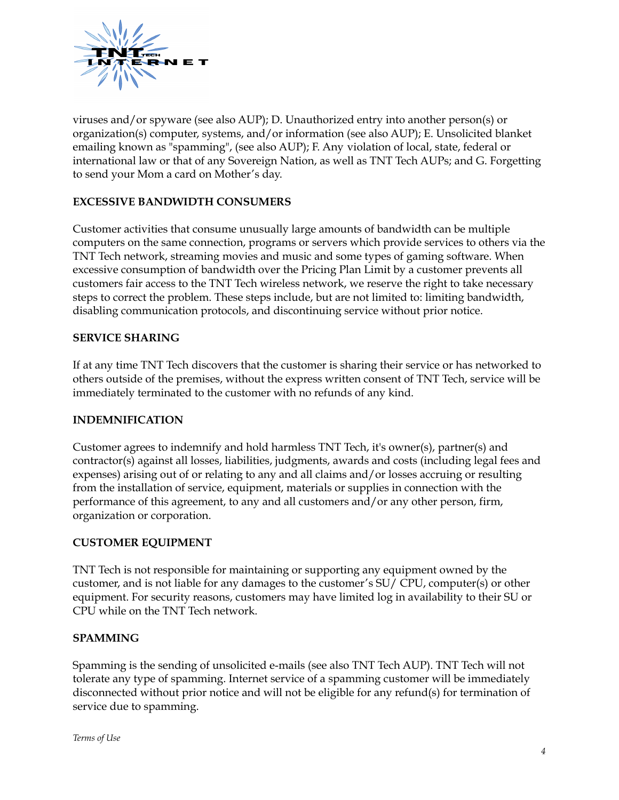

viruses and/or spyware (see also AUP); D. Unauthorized entry into another person(s) or organization(s) computer, systems, and/or information (see also AUP); E. Unsolicited blanket emailing known as "spamming", (see also AUP); F. Any violation of local, state, federal or international law or that of any Sovereign Nation, as well as TNT Tech AUPs; and G. Forgetting to send your Mom a card on Mother's day.

# **EXCESSIVE BANDWIDTH CONSUMERS**

Customer activities that consume unusually large amounts of bandwidth can be multiple computers on the same connection, programs or servers which provide services to others via the TNT Tech network, streaming movies and music and some types of gaming software. When excessive consumption of bandwidth over the Pricing Plan Limit by a customer prevents all customers fair access to the TNT Tech wireless network, we reserve the right to take necessary steps to correct the problem. These steps include, but are not limited to: limiting bandwidth, disabling communication protocols, and discontinuing service without prior notice.

#### **SERVICE SHARING**

If at any time TNT Tech discovers that the customer is sharing their service or has networked to others outside of the premises, without the express written consent of TNT Tech, service will be immediately terminated to the customer with no refunds of any kind.

# **INDEMNIFICATION**

Customer agrees to indemnify and hold harmless TNT Tech, it's owner(s), partner(s) and contractor(s) against all losses, liabilities, judgments, awards and costs (including legal fees and expenses) arising out of or relating to any and all claims and/or losses accruing or resulting from the installation of service, equipment, materials or supplies in connection with the performance of this agreement, to any and all customers and/or any other person, firm, organization or corporation.

# **CUSTOMER EQUIPMENT**

TNT Tech is not responsible for maintaining or supporting any equipment owned by the customer, and is not liable for any damages to the customer's SU/ CPU, computer(s) or other equipment. For security reasons, customers may have limited log in availability to their SU or CPU while on the TNT Tech network.

#### **SPAMMING**

Spamming is the sending of unsolicited e-mails (see also TNT Tech AUP). TNT Tech will not tolerate any type of spamming. Internet service of a spamming customer will be immediately disconnected without prior notice and will not be eligible for any refund(s) for termination of service due to spamming.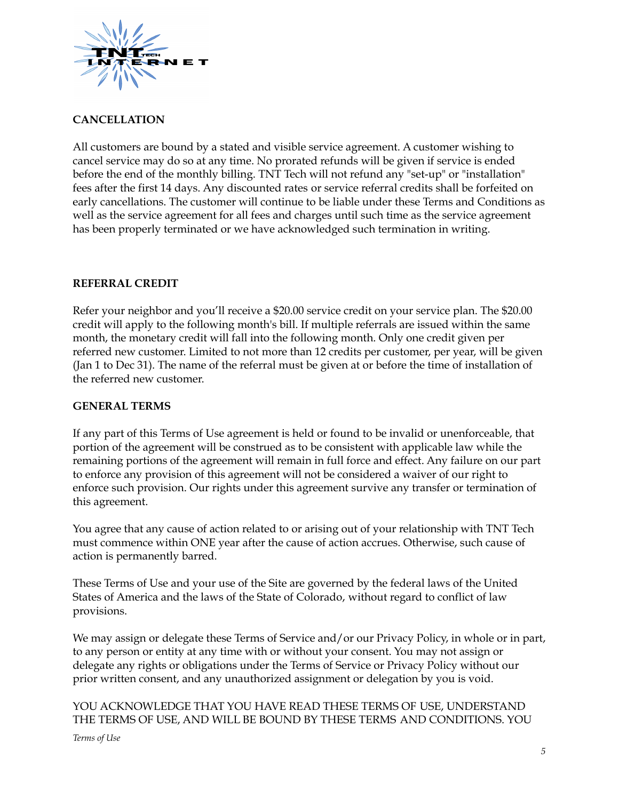

# **CANCELLATION**

All customers are bound by a stated and visible service agreement. A customer wishing to cancel service may do so at any time. No prorated refunds will be given if service is ended before the end of the monthly billing. TNT Tech will not refund any "set-up" or "installation" fees after the first 14 days. Any discounted rates or service referral credits shall be forfeited on early cancellations. The customer will continue to be liable under these Terms and Conditions as well as the service agreement for all fees and charges until such time as the service agreement has been properly terminated or we have acknowledged such termination in writing.

# **REFERRAL CREDIT**

Refer your neighbor and you'll receive a \$20.00 service credit on your service plan. The \$20.00 credit will apply to the following month's bill. If multiple referrals are issued within the same month, the monetary credit will fall into the following month. Only one credit given per referred new customer. Limited to not more than 12 credits per customer, per year, will be given (Jan 1 to Dec 31). The name of the referral must be given at or before the time of installation of the referred new customer.

# **GENERAL TERMS**

If any part of this Terms of Use agreement is held or found to be invalid or unenforceable, that portion of the agreement will be construed as to be consistent with applicable law while the remaining portions of the agreement will remain in full force and effect. Any failure on our part to enforce any provision of this agreement will not be considered a waiver of our right to enforce such provision. Our rights under this agreement survive any transfer or termination of this agreement.

You agree that any cause of action related to or arising out of your relationship with TNT Tech must commence within ONE year after the cause of action accrues. Otherwise, such cause of action is permanently barred.

These Terms of Use and your use of the Site are governed by the federal laws of the United States of America and the laws of the State of Colorado, without regard to conflict of law provisions.

We may assign or delegate these Terms of Service and/or our Privacy Policy, in whole or in part, to any person or entity at any time with or without your consent. You may not assign or delegate any rights or obligations under the Terms of Service or Privacy Policy without our prior written consent, and any unauthorized assignment or delegation by you is void.

YOU ACKNOWLEDGE THAT YOU HAVE READ THESE TERMS OF USE, UNDERSTAND THE TERMS OF USE, AND WILL BE BOUND BY THESE TERMS AND CONDITIONS. YOU *Terms of Use*